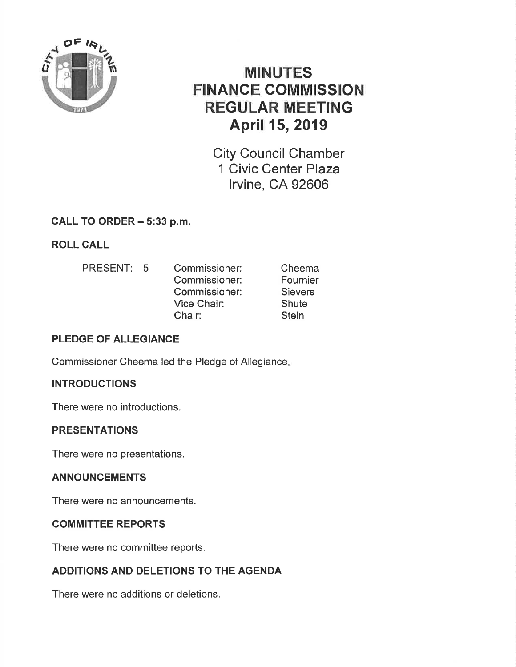

# **MINUTES** FINANCE GOMMISSION REGULAR MEETING April 15, 2019

City Council Chamber 1 Civic Center Plaza lrvine, CA 92606

# CALL TO ORDER - 5:33 p.m.

# ROLL CALL

PRESENT: 5 Commissioner: Commissioner: Commissioner: Vice Chair: Chair: Cheema Fournier **Sievers Shute Stein** 

# PLEDGE OF ALLEGIANCE

Commissioner Cheema led the Pledge of Allegiance

# **INTRODUCTIONS**

There were no introductions.

## PRESENTATIONS

There were no presentations.

# ANNOUNCEMENTS

There were no announcements.

## COMMITTEE REPORTS

There were no committee reports.

# ADDITIONS AND DELETIONS TO THE AGENDA

There were no additions or deletions.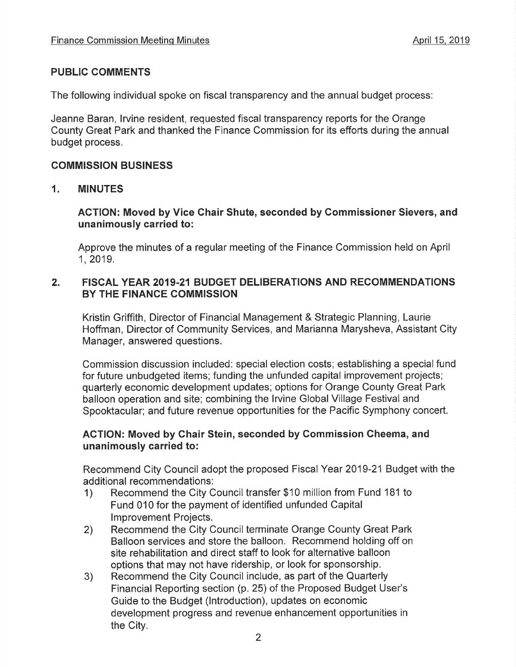## PUBLIC COMMENTS

The following individual spoke on fiscal transparency and the annual budget process:

Jeanne Baran, lrvine resident, requested fiscal transparency reports for the Orange County Great Park and thanked the Finance Commission for its efforts during the annual budget process.

#### COMMISSION BUSINESS

#### 1, MINUTES

#### ACTION: Moved by Vice Ghair Shute, seconded by Gommissioner Sievers, and unanimously carried to:

Approve the minutes of a regular meeting of the Finance Commission held on April 1,2019.

#### 2. FISCAL YEAR 2019-21 BUDGET DELIBERATIONS AND RECOMMENDATIONS BY THE FINANCE COMMISSION

Kristin Griffith, Director of Financial Management & Strategic Planning, Laurie Hoffman, Director of Community Services, and Marianna Marysheva, Assistant City Manager, answered questions.

Commission discussion included: special election costs; establishing a special fund for future unbudgeted items; funding the unfunded capital improvement projects; quarterly economic development updates; options for Orange County Great Park balloon operation and site; combining the lrvine Global Village Festival and Spooktacular; and future revenue opportunities for the Pacific Symphony concert.

#### ACTION: Moved by Ghair Stein, seconded by Commission Cheema, and unanimously carried to:

Recommend City Council adopt the proposed Fiscal Year 2019-21 Budget with the

- additional recommendations:<br>
1) Recommend the City Council transfer \$10 million from Fund 181 to Fund 010 for the payment of identified unfunded Capital lmprovement Projects.
- 2) Recommend the City Council terminate Orange County Great Park Balloon services and store the balloon. Recommend holding off on site rehabilitation and direct staff to look for alternative balloon options that may not have ridership, or look for sponsorship.
- 3) Recommend the City Council include, as part of the Quarterly Financial Reporting section (p. 25) of the Proposed Budget User's Guide to the Budget (lntroduction), updates on economic development progress and revenue enhancement opportunities in the City.